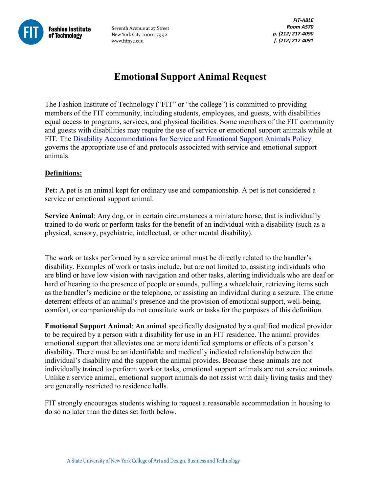

Seventh Avenue at 27 Street New York City 10001-5992 www.fitnyc.edu

# **Emotional Support Animal Request**

The Fashion Institute of Technology ("FIT" or "the college") is committed to providing members of the FIT community, including students, employees, and guests, with disabilities equal access to programs, services, and physical facilities. Some members of the FIT community and guests with disabilities may require the use of service or emotional support animals while at FIT. The [Disability Accommodations for Service and Emotional Support Animals Policy](http://www.fitnyc.edu/documents/policies/em015-support-and-service-animals.pdf) governs the appropriate use of and protocols associated with service and emotional support animals.

## **Definitions:**

**Pet:** A pet is an animal kept for ordinary use and companionship. A pet is not considered a service or emotional support animal.

**Service Animal**: Any dog, or in certain circumstances a miniature horse, that is individually trained to do work or perform tasks for the benefit of an individual with a disability (such as a physical, sensory, psychiatric, intellectual, or other mental disability).

The work or tasks performed by a service animal must be directly related to the handler's disability. Examples of work or tasks include, but are not limited to, assisting individuals who are blind or have low vision with navigation and other tasks, alerting individuals who are deaf or hard of hearing to the presence of people or sounds, pulling a wheelchair, retrieving items such as the handler's medicine or the telephone, or assisting an individual during a seizure. The crime deterrent effects of an animal's presence and the provision of emotional support, well-being, comfort, or companionship do not constitute work or tasks for the purposes of this definition.

**Emotional Support Animal**: An animal specifically designated by a qualified medical provider to be required by a person with a disability for use in an FIT residence. The animal provides emotional support that alleviates one or more identified symptoms or effects of a person's disability. There must be an identifiable and medically indicated relationship between the individual's disability and the support the animal provides. Because these animals are not individually trained to perform work or tasks, emotional support animals are not service animals. Unlike a service animal, emotional support animals do not assist with daily living tasks and they are generally restricted to residence halls.

FIT strongly encourages students wishing to request a reasonable accommodation in housing to do so no later than the dates set forth below.